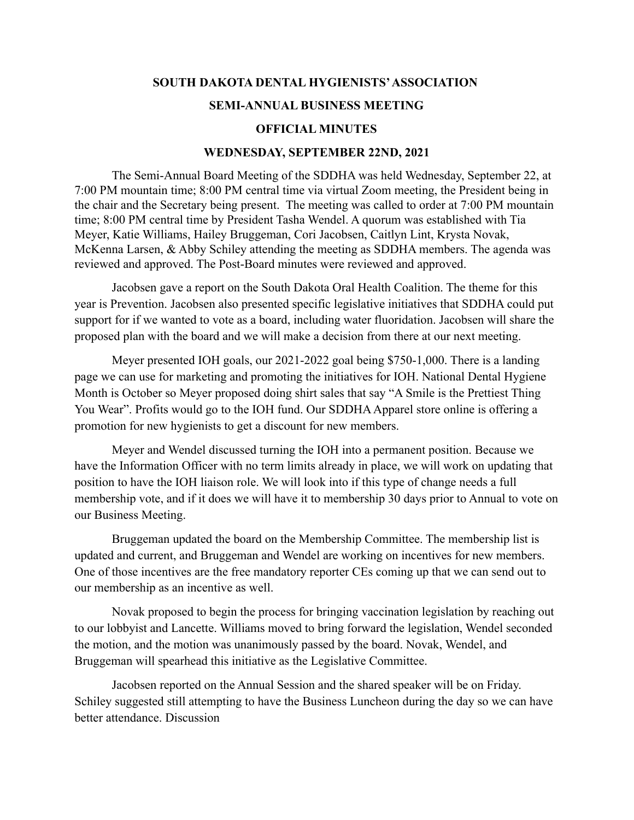## **SOUTH DAKOTA DENTAL HYGIENISTS'ASSOCIATION**

## **SEMI-ANNUAL BUSINESS MEETING**

## **OFFICIAL MINUTES**

## **WEDNESDAY, SEPTEMBER 22ND, 2021**

The Semi-Annual Board Meeting of the SDDHA was held Wednesday, September 22, at 7:00 PM mountain time; 8:00 PM central time via virtual Zoom meeting, the President being in the chair and the Secretary being present. The meeting was called to order at 7:00 PM mountain time; 8:00 PM central time by President Tasha Wendel. A quorum was established with Tia Meyer, Katie Williams, Hailey Bruggeman, Cori Jacobsen, Caitlyn Lint, Krysta Novak, McKenna Larsen, & Abby Schiley attending the meeting as SDDHA members. The agenda was reviewed and approved. The Post-Board minutes were reviewed and approved.

Jacobsen gave a report on the South Dakota Oral Health Coalition. The theme for this year is Prevention. Jacobsen also presented specific legislative initiatives that SDDHA could put support for if we wanted to vote as a board, including water fluoridation. Jacobsen will share the proposed plan with the board and we will make a decision from there at our next meeting.

Meyer presented IOH goals, our 2021-2022 goal being \$750-1,000. There is a landing page we can use for marketing and promoting the initiatives for IOH. National Dental Hygiene Month is October so Meyer proposed doing shirt sales that say "A Smile is the Prettiest Thing You Wear". Profits would go to the IOH fund. Our SDDHA Apparel store online is offering a promotion for new hygienists to get a discount for new members.

Meyer and Wendel discussed turning the IOH into a permanent position. Because we have the Information Officer with no term limits already in place, we will work on updating that position to have the IOH liaison role. We will look into if this type of change needs a full membership vote, and if it does we will have it to membership 30 days prior to Annual to vote on our Business Meeting.

Bruggeman updated the board on the Membership Committee. The membership list is updated and current, and Bruggeman and Wendel are working on incentives for new members. One of those incentives are the free mandatory reporter CEs coming up that we can send out to our membership as an incentive as well.

Novak proposed to begin the process for bringing vaccination legislation by reaching out to our lobbyist and Lancette. Williams moved to bring forward the legislation, Wendel seconded the motion, and the motion was unanimously passed by the board. Novak, Wendel, and Bruggeman will spearhead this initiative as the Legislative Committee.

Jacobsen reported on the Annual Session and the shared speaker will be on Friday. Schiley suggested still attempting to have the Business Luncheon during the day so we can have better attendance. Discussion